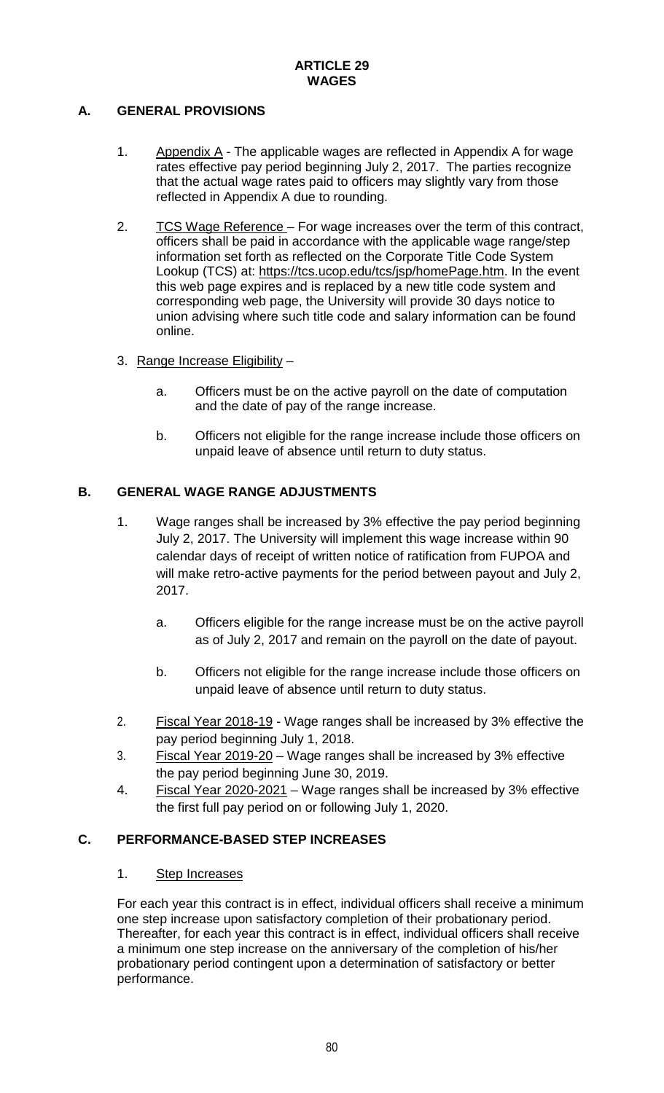# **A. GENERAL PROVISIONS**

- 1. Appendix  $\overline{A}$  The applicable wages are reflected in Appendix A for wage rates effective pay period beginning July 2, 2017. The parties recognize that the actual wage rates paid to officers may slightly vary from those reflected in Appendix A due to rounding.
- 2. TCS Wage Reference For wage increases over the term of this contract, officers shall be paid in accordance with the applicable wage range/step information set forth as reflected on the Corporate Title Code System Lookup (TCS) at: [https://tcs.ucop.edu/tcs/jsp/homePage.htm.](https://tcs.ucop.edu/tcs/jsp/homePage.htm) In the event this web page expires and is replaced by a new title code system and corresponding web page, the University will provide 30 days notice to union advising where such title code and salary information can be found online.
- 3. Range Increase Eligibility
	- a. Officers must be on the active payroll on the date of computation and the date of pay of the range increase.
	- b. Officers not eligible for the range increase include those officers on unpaid leave of absence until return to duty status.

# **B. GENERAL WAGE RANGE ADJUSTMENTS**

- 1. Wage ranges shall be increased by 3% effective the pay period beginning July 2, 2017. The University will implement this wage increase within 90 calendar days of receipt of written notice of ratification from FUPOA and will make retro-active payments for the period between payout and July 2, 2017.
	- a. Officers eligible for the range increase must be on the active payroll as of July 2, 2017 and remain on the payroll on the date of payout.
	- b. Officers not eligible for the range increase include those officers on unpaid leave of absence until return to duty status.
- 2. Fiscal Year 2018-19 Wage ranges shall be increased by 3% effective the pay period beginning July 1, 2018.
- 3. Fiscal Year 2019-20 Wage ranges shall be increased by 3% effective the pay period beginning June 30, 2019.
- 4. Fiscal Year 2020-2021 Wage ranges shall be increased by 3% effective the first full pay period on or following July 1, 2020.

# **C. PERFORMANCE-BASED STEP INCREASES**

#### 1. Step Increases

For each year this contract is in effect, individual officers shall receive a minimum one step increase upon satisfactory completion of their probationary period. Thereafter, for each year this contract is in effect, individual officers shall receive a minimum one step increase on the anniversary of the completion of his/her probationary period contingent upon a determination of satisfactory or better performance.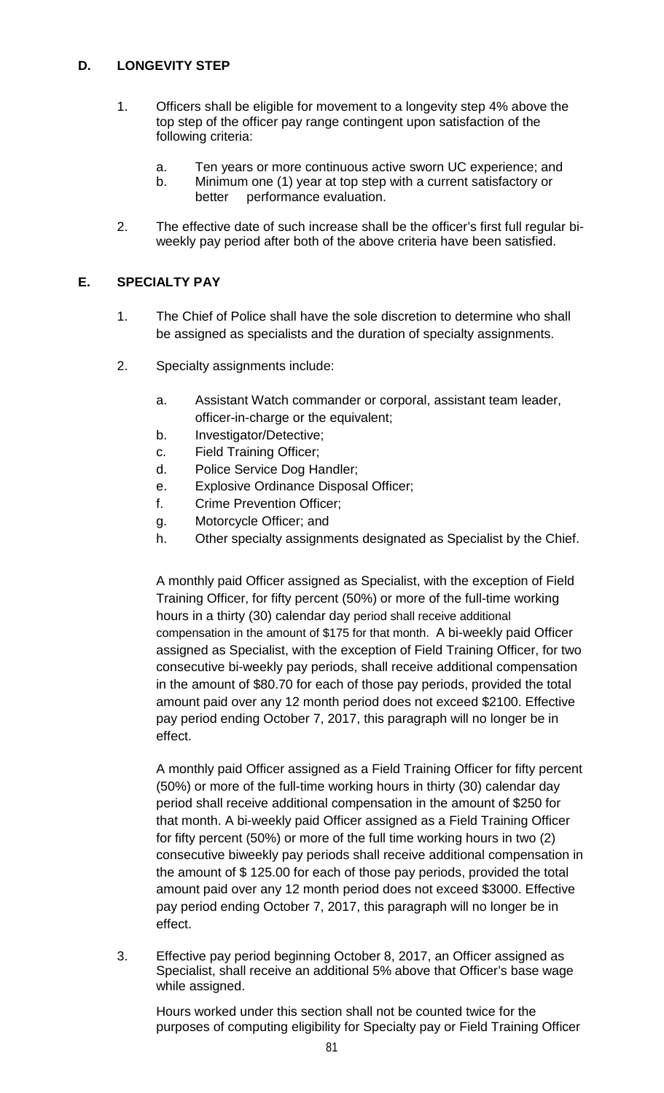## **D. LONGEVITY STEP**

- 1. Officers shall be eligible for movement to a longevity step 4% above the top step of the officer pay range contingent upon satisfaction of the following criteria:
	- a. Ten years or more continuous active sworn UC experience; and
	- b. Minimum one (1) year at top step with a current satisfactory or better performance evaluation.
- 2. The effective date of such increase shall be the officer's first full regular biweekly pay period after both of the above criteria have been satisfied.

#### **E. SPECIALTY PAY**

- 1. The Chief of Police shall have the sole discretion to determine who shall be assigned as specialists and the duration of specialty assignments.
- 2. Specialty assignments include:
	- a. Assistant Watch commander or corporal, assistant team leader, officer-in-charge or the equivalent;
	- b. Investigator/Detective;
	- c. Field Training Officer;
	- d. Police Service Dog Handler;
	- e. Explosive Ordinance Disposal Officer;
	- f. Crime Prevention Officer;
	- g. Motorcycle Officer; and
	- h. Other specialty assignments designated as Specialist by the Chief.

A monthly paid Officer assigned as Specialist, with the exception of Field Training Officer, for fifty percent (50%) or more of the full-time working hours in a thirty (30) calendar day period shall receive additional compensation in the amount of \$175 for that month. A bi-weekly paid Officer assigned as Specialist, with the exception of Field Training Officer, for two consecutive bi-weekly pay periods, shall receive additional compensation in the amount of \$80.70 for each of those pay periods, provided the total amount paid over any 12 month period does not exceed \$2100. Effective pay period ending October 7, 2017, this paragraph will no longer be in effect.

A monthly paid Officer assigned as a Field Training Officer for fifty percent (50%) or more of the full-time working hours in thirty (30) calendar day period shall receive additional compensation in the amount of \$250 for that month. A bi-weekly paid Officer assigned as a Field Training Officer for fifty percent (50%) or more of the full time working hours in two (2) consecutive biweekly pay periods shall receive additional compensation in the amount of \$ 125.00 for each of those pay periods, provided the total amount paid over any 12 month period does not exceed \$3000. Effective pay period ending October 7, 2017, this paragraph will no longer be in effect.

3. Effective pay period beginning October 8, 2017, an Officer assigned as Specialist, shall receive an additional 5% above that Officer's base wage while assigned.

Hours worked under this section shall not be counted twice for the purposes of computing eligibility for Specialty pay or Field Training Officer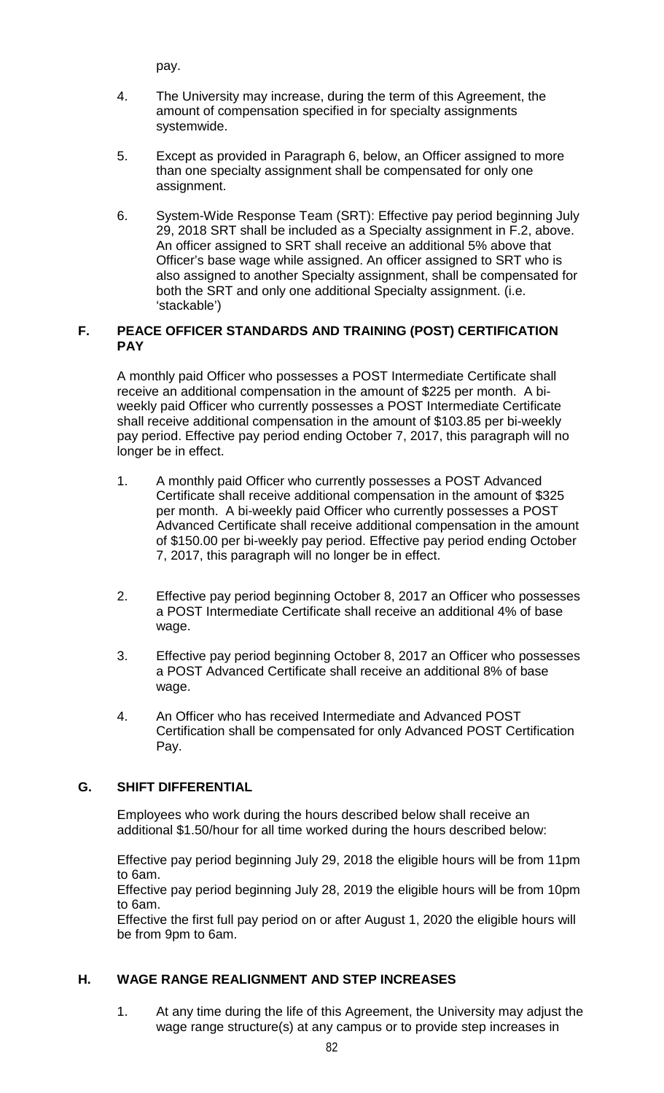pay.

- 4. The University may increase, during the term of this Agreement, the amount of compensation specified in for specialty assignments systemwide.
- 5. Except as provided in Paragraph 6, below, an Officer assigned to more than one specialty assignment shall be compensated for only one assignment.
- 6. System-Wide Response Team (SRT): Effective pay period beginning July 29, 2018 SRT shall be included as a Specialty assignment in F.2, above. An officer assigned to SRT shall receive an additional 5% above that Officer's base wage while assigned. An officer assigned to SRT who is also assigned to another Specialty assignment, shall be compensated for both the SRT and only one additional Specialty assignment. (i.e. 'stackable')

#### **F. PEACE OFFICER STANDARDS AND TRAINING (POST) CERTIFICATION PAY**

A monthly paid Officer who possesses a POST Intermediate Certificate shall receive an additional compensation in the amount of \$225 per month. A biweekly paid Officer who currently possesses a POST Intermediate Certificate shall receive additional compensation in the amount of \$103.85 per bi-weekly pay period. Effective pay period ending October 7, 2017, this paragraph will no longer be in effect.

- 1. A monthly paid Officer who currently possesses a POST Advanced Certificate shall receive additional compensation in the amount of \$325 per month. A bi-weekly paid Officer who currently possesses a POST Advanced Certificate shall receive additional compensation in the amount of \$150.00 per bi-weekly pay period. Effective pay period ending October 7, 2017, this paragraph will no longer be in effect.
- 2. Effective pay period beginning October 8, 2017 an Officer who possesses a POST Intermediate Certificate shall receive an additional 4% of base wage.
- 3. Effective pay period beginning October 8, 2017 an Officer who possesses a POST Advanced Certificate shall receive an additional 8% of base wage.
- 4. An Officer who has received Intermediate and Advanced POST Certification shall be compensated for only Advanced POST Certification Pay.

# **G. SHIFT DIFFERENTIAL**

Employees who work during the hours described below shall receive an additional \$1.50/hour for all time worked during the hours described below:

Effective pay period beginning July 29, 2018 the eligible hours will be from 11pm to 6am.

Effective pay period beginning July 28, 2019 the eligible hours will be from 10pm to 6am.

Effective the first full pay period on or after August 1, 2020 the eligible hours will be from 9pm to 6am.

#### **H. WAGE RANGE REALIGNMENT AND STEP INCREASES**

1. At any time during the life of this Agreement, the University may adjust the wage range structure(s) at any campus or to provide step increases in